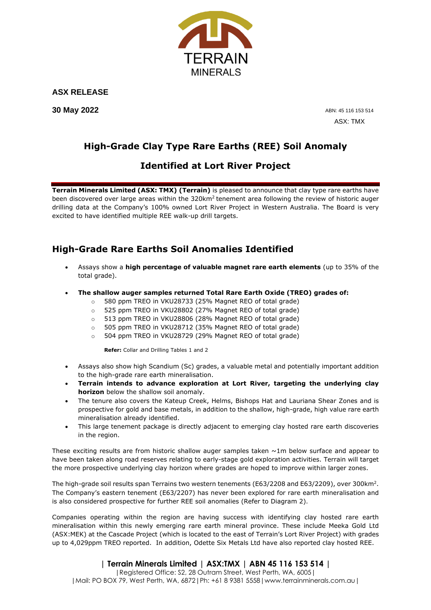

**ASX RELEASE**

**30 May 2022**

ABN: 45 116 153 514 ASX: TMX

# **High-Grade Clay Type Rare Earths (REE) Soil Anomaly**

# **Identified at Lort River Project**

**Terrain Minerals Limited (ASX: TMX) (Terrain)** is pleased to announce that clay type rare earths have been discovered over large areas within the 320km<sup>2</sup> tenement area following the review of historic auger drilling data at the Company's 100% owned Lort River Project in Western Australia. The Board is very excited to have identified multiple REE walk-up drill targets.

# **High-Grade Rare Earths Soil Anomalies Identified**

- Assays show a **high percentage of valuable magnet rare earth elements** (up to 35% of the total grade).
- **The shallow auger samples returned Total Rare Earth Oxide (TREO) grades of:**
	- o 580 ppm TREO in VKU28733 (25% Magnet REO of total grade)
	- o 525 ppm TREO in VKU28802 (27% Magnet REO of total grade)
	- 513 ppm TREO in VKU28806 (28% Magnet REO of total grade)
	- o 505 ppm TREO in VKU28712 (35% Magnet REO of total grade)
	- o 504 ppm TREO in VKU28729 (29% Magnet REO of total grade)

**Refer:** Collar and Drilling Tables 1 and 2

- Assays also show high Scandium (Sc) grades, a valuable metal and potentially important addition to the high-grade rare earth mineralisation.
- **Terrain intends to advance exploration at Lort River, targeting the underlying clay horizon** below the shallow soil anomaly.
- The tenure also covers the Kateup Creek, Helms, Bishops Hat and Lauriana Shear Zones and is prospective for gold and base metals, in addition to the shallow, high-grade, high value rare earth mineralisation already identified.
- This large tenement package is directly adjacent to emerging clay hosted rare earth discoveries in the region.

These exciting results are from historic shallow auger samples taken  $\sim$ 1m below surface and appear to have been taken along road reserves relating to early-stage gold exploration activities. Terrain will target the more prospective underlying clay horizon where grades are hoped to improve within larger zones.

The high-grade soil results span Terrains two western tenements (E63/2208 and E63/2209), over 300km<sup>2</sup>. The Company's eastern tenement (E63/2207) has never been explored for rare earth mineralisation and is also considered prospective for further REE soil anomalies (Refer to Diagram 2).

Companies operating within the region are having success with identifying clay hosted rare earth mineralisation within this newly emerging rare earth mineral province. These include Meeka Gold Ltd (ASX:MEK) at the Cascade Project (which is located to the east of Terrain's Lort River Project) with grades up to 4,029ppm TREO reported. In addition, Odette Six Metals Ltd have also reported clay hosted REE.

## **| Terrain Minerals Limited | ASX:TMX | ABN 45 116 153 514 |**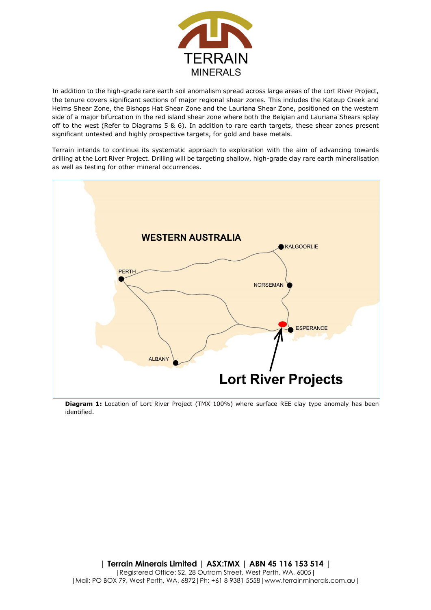

In addition to the high-grade rare earth soil anomalism spread across large areas of the Lort River Project, the tenure covers significant sections of major regional shear zones. This includes the Kateup Creek and Helms Shear Zone, the Bishops Hat Shear Zone and the Lauriana Shear Zone, positioned on the western side of a major bifurcation in the red island shear zone where both the Belgian and Lauriana Shears splay off to the west (Refer to Diagrams 5 & 6). In addition to rare earth targets, these shear zones present significant untested and highly prospective targets, for gold and base metals.

Terrain intends to continue its systematic approach to exploration with the aim of advancing towards drilling at the Lort River Project. Drilling will be targeting shallow, high-grade clay rare earth mineralisation as well as testing for other mineral occurrences.



**Diagram 1:** Location of Lort River Project (TMX 100%) where surface REE clay type anomaly has been identified.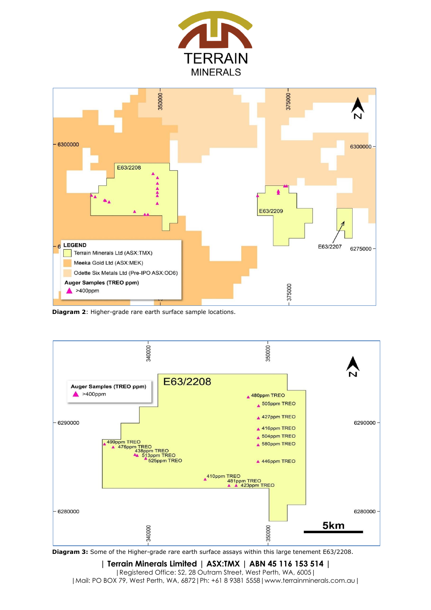



**Diagram 2**: Higher-grade rare earth surface sample locations.



**Diagram 3:** Some of the Higher-grade rare earth surface assays within this large tenement E63/2208.

**| Terrain Minerals Limited | ASX:TMX | ABN 45 116 153 514 |** |Registered Office: S2, 28 Outram Street, West Perth, WA, 6005| |Mail: PO BOX 79, West Perth, WA, 6872|Ph: +61 8 9381 5558|www.terrainminerals.com.au|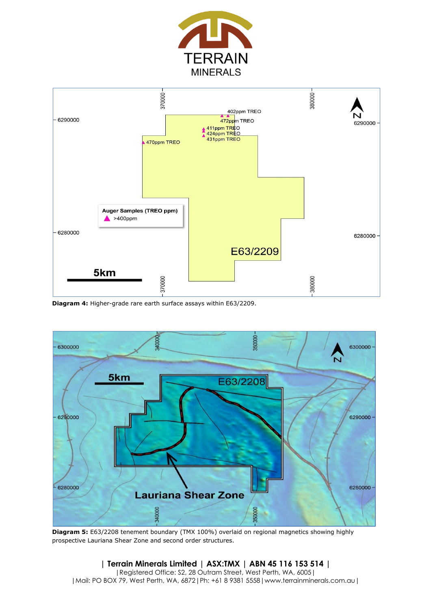



**Diagram 4:** Higher-grade rare earth surface assays within E63/2209.



**Diagram 5:** E63/2208 tenement boundary (TMX 100%) overlaid on regional magnetics showing highly prospective Lauriana Shear Zone and second order structures.

**| Terrain Minerals Limited | ASX:TMX | ABN 45 116 153 514 |** |Registered Office: S2, 28 Outram Street, West Perth, WA, 6005| |Mail: PO BOX 79, West Perth, WA, 6872|Ph: +61 8 9381 5558|www.terrainminerals.com.au|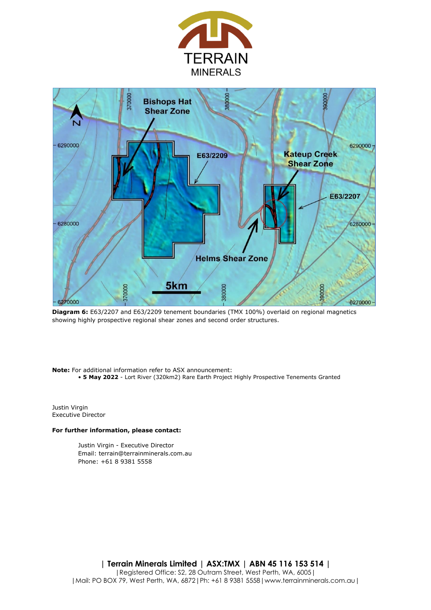



**Diagram 6:** E63/2207 and E63/2209 tenement boundaries (TMX 100%) overlaid on regional magnetics showing highly prospective regional shear zones and second order structures.

**Note:** For additional information refer to ASX announcement: • **5 May 2022** - Lort River (320km2) Rare Earth Project Highly Prospective Tenements Granted

Justin Virgin Executive Director

#### **For further information, please contact:**

Justin Virgin - Executive Director Email: terrain@terrainminerals.com.au Phone: +61 8 9381 5558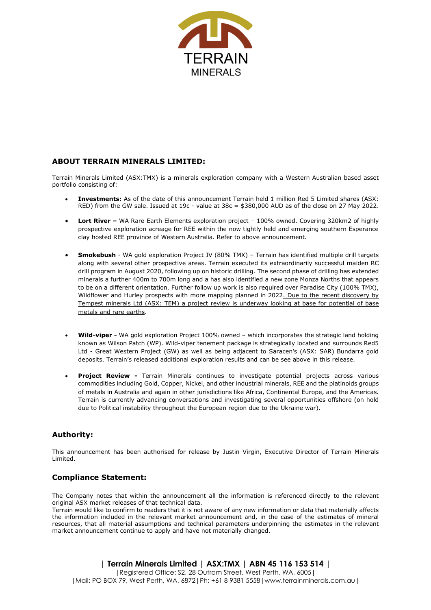

#### **ABOUT TERRAIN MINERALS LIMITED:**

Terrain Minerals Limited (ASX:TMX) is a minerals exploration company with a Western Australian based asset portfolio consisting of:

- **Investments:** As of the date of this announcement Terrain held 1 million Red 5 Limited shares (ASX: RED) from the GW sale. Issued at 19c - value at 38c = \$380,000 AUD as of the close on 27 May 2022.
- **Lort River –** WA Rare Earth Elements exploration project 100% owned. Covering 320km2 of highly prospective exploration acreage for REE within the now tightly held and emerging southern Esperance clay hosted REE province of Western Australia. Refer to above announcement.
- **Smokebush**  WA gold exploration Project JV (80% TMX) Terrain has identified multiple drill targets along with several other prospective areas. Terrain executed its extraordinarily successful maiden RC drill program in August 2020, following up on historic drilling. The second phase of drilling has extended minerals a further 400m to 700m long and a has also identified a new zone Monza Norths that appears to be on a different orientation. Further follow up work is also required over Paradise City (100% TMX), Wildflower and Hurley prospects with more mapping planned in 2022. Due to the recent discovery by Tempest minerals Ltd (ASX: TEM) a project review is underway looking at base for potential of base metals and rare earths.
- **Wild-viper -** WA gold exploration Project 100% owned which incorporates the strategic land holding known as Wilson Patch (WP). Wild-viper tenement package is strategically located and surrounds Red5 Ltd - Great Western Project (GW) as well as being adjacent to Saracen's (ASX: SAR) Bundarra gold deposits. Terrain's released additional exploration results and can be see above in this release.
- **Project Review -** Terrain Minerals continues to investigate potential projects across various commodities including Gold, Copper, Nickel, and other industrial minerals, REE and the platinoids groups of metals in Australia and again in other jurisdictions like Africa, Continental Europe, and the Americas. Terrain is currently advancing conversations and investigating several opportunities offshore (on hold due to Political instability throughout the European region due to the Ukraine war).

### **Authority:**

This announcement has been authorised for release by Justin Virgin, Executive Director of Terrain Minerals Limited.

#### **Compliance Statement:**

The Company notes that within the announcement all the information is referenced directly to the relevant original ASX market releases of that technical data.

Terrain would like to confirm to readers that it is not aware of any new information or data that materially affects the information included in the relevant market announcement and, in the case of the estimates of mineral resources, that all material assumptions and technical parameters underpinning the estimates in the relevant market announcement continue to apply and have not materially changed.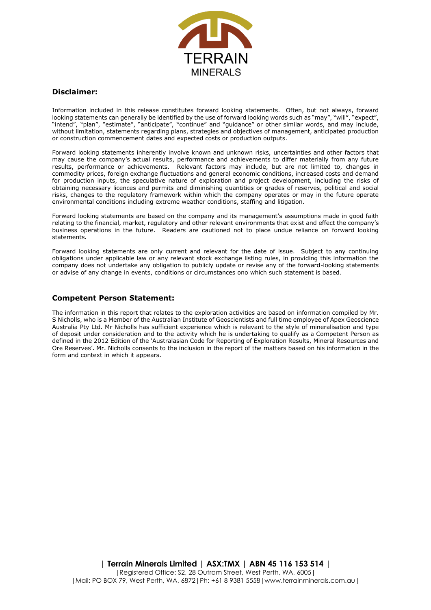

#### **Disclaimer:**

Information included in this release constitutes forward looking statements. Often, but not always, forward looking statements can generally be identified by the use of forward looking words such as "may", "will", "expect" looking statements can generally be identified by the use of forward looking words such as "may", "will", "intend", "plan", "estimate", "anticipate", "continue" and "guidance" or other similar words, and may include, without limitation, statements regarding plans, strategies and objectives of management, anticipated production or construction commencement dates and expected costs or production outputs.

Forward looking statements inherently involve known and unknown risks, uncertainties and other factors that may cause the company's actual results, performance and achievements to differ materially from any future results, performance or achievements. Relevant factors may include, but are not limited to, changes in commodity prices, foreign exchange fluctuations and general economic conditions, increased costs and demand for production inputs, the speculative nature of exploration and project development, including the risks of obtaining necessary licences and permits and diminishing quantities or grades of reserves, political and social risks, changes to the regulatory framework within which the company operates or may in the future operate environmental conditions including extreme weather conditions, staffing and litigation.

Forward looking statements are based on the company and its management's assumptions made in good faith relating to the financial, market, regulatory and other relevant environments that exist and effect the company's business operations in the future. Readers are cautioned not to place undue reliance on forward looking statements.

Forward looking statements are only current and relevant for the date of issue. Subject to any continuing obligations under applicable law or any relevant stock exchange listing rules, in providing this information the company does not undertake any obligation to publicly update or revise any of the forward-looking statements or advise of any change in events, conditions or circumstances ono which such statement is based.

#### **Competent Person Statement:**

The information in this report that relates to the exploration activities are based on information compiled by Mr. S Nicholls, who is a Member of the Australian Institute of Geoscientists and full time employee of Apex Geoscience Australia Pty Ltd. Mr Nicholls has sufficient experience which is relevant to the style of mineralisation and type of deposit under consideration and to the activity which he is undertaking to qualify as a Competent Person as defined in the 2012 Edition of the 'Australasian Code for Reporting of Exploration Results, Mineral Resources and Ore Reserves'. Mr. Nicholls consents to the inclusion in the report of the matters based on his information in the form and context in which it appears.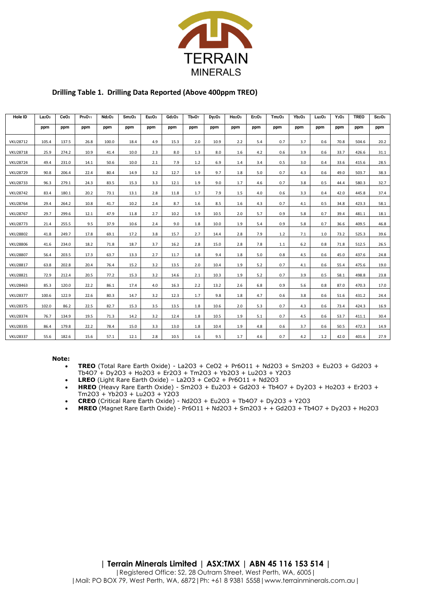

#### **Drilling Table 1. Drilling Data Reported (Above 400ppm TREO)**

| Hole ID         | La <sub>2</sub> O <sub>3</sub> | CeO <sub>2</sub> | Pr <sub>6</sub> O <sub>11</sub> | Nd <sub>2</sub> O <sub>3</sub> | Sm <sub>2</sub> O <sub>3</sub> | Eu <sub>2</sub> O <sub>3</sub> | Gd <sub>2</sub> O <sub>3</sub> | Tb <sub>4</sub> O <sub>7</sub> | $Dy_2O_3$ | Ho <sub>2</sub> O <sub>3</sub> | Er <sub>2</sub> O <sub>3</sub> | Tm <sub>2</sub> O <sub>3</sub> | $Yb_2O_3$ | Lu <sub>2</sub> O <sub>3</sub> | $Y_2O_3$ | <b>TREO</b> | Sc <sub>2</sub> O <sub>3</sub> |
|-----------------|--------------------------------|------------------|---------------------------------|--------------------------------|--------------------------------|--------------------------------|--------------------------------|--------------------------------|-----------|--------------------------------|--------------------------------|--------------------------------|-----------|--------------------------------|----------|-------------|--------------------------------|
|                 | ppm                            | ppm              | ppm                             | ppm                            | ppm                            | ppm                            | ppm                            | ppm                            | ppm       | ppm                            | ppm                            | ppm                            | ppm       | ppm                            | ppm      | ppm         | ppm                            |
| <b>VKU28712</b> | 105.4                          | 137.5            | 26.8                            | 100.0                          | 18.4                           | 4.9                            | 15.3                           | 2.0                            | 10.9      | 2.2                            | 5.4                            | 0.7                            | 3.7       | 0.6                            | 70.8     | 504.6       | 20.2                           |
| <b>VKU28718</b> | 25.9                           | 274.2            | 10.9                            | 41.4                           | 10.0                           | 2.3                            | 8.0                            | 1.3                            | 8.0       | 1.6                            | 4.2                            | 0.6                            | 3.9       | 0.6                            | 33.7     | 426.6       | 31.1                           |
| <b>VKU28724</b> | 49.4                           | 231.0            | 14.1                            | 50.6                           | 10.0                           | 2.1                            | 7.9                            | 1.2                            | 6.9       | 1.4                            | 3.4                            | 0.5                            | 3.0       | 0.4                            | 33.6     | 415.6       | 28.5                           |
| <b>VKU28729</b> | 90.8                           | 206.4            | 22.4                            | 80.4                           | 14.9                           | 3.2                            | 12.7                           | 1.9                            | 9.7       | 1.8                            | 5.0                            | 0.7                            | 4.3       | 0.6                            | 49.0     | 503.7       | 38.3                           |
| <b>VKU28733</b> | 96.3                           | 279.1            | 24.3                            | 83.5                           | 15.3                           | 3.3                            | 12.1                           | 1.9                            | 9.0       | 1.7                            | 4.6                            | 0.7                            | 3.8       | 0.5                            | 44.4     | 580.3       | 32.7                           |
| <b>VKU28742</b> | 83.4                           | 180.1            | 20.2                            | 73.1                           | 13.1                           | 2.8                            | 11.8                           | 1.7                            | 7.9       | 1.5                            | 4.0                            | 0.6                            | 3.3       | 0.4                            | 42.0     | 445.8       | 37.4                           |
| <b>VKU28764</b> | 29.4                           | 264.2            | 10.8                            | 41.7                           | 10.2                           | 2.4                            | 8.7                            | 1.6                            | 8.5       | 1.6                            | 4.3                            | 0.7                            | 4.1       | 0.5                            | 34.8     | 423.3       | 58.1                           |
| <b>VKU28767</b> | 29.7                           | 299.6            | 12.1                            | 47.9                           | 11.8                           | 2.7                            | 10.2                           | 1.9                            | 10.5      | 2.0                            | 5.7                            | 0.9                            | 5.8       | 0.7                            | 39.4     | 481.1       | 18.1                           |
| <b>VKU28773</b> | 21.4                           | 255.5            | 9.5                             | 37.9                           | 10.6                           | 2.4                            | 9.0                            | 1.8                            | 10.0      | 1.9                            | 5.4                            | 0.9                            | 5.8       | 0.7                            | 36.6     | 409.5       | 46.8                           |
| <b>VKU28802</b> | 41.8                           | 249.7            | 17.8                            | 69.1                           | 17.2                           | 3.8                            | 15.7                           | 2.7                            | 14.4      | 2.8                            | 7.9                            | 1.2                            | 7.1       | 1.0                            | 73.2     | 525.3       | 39.6                           |
| <b>VKU28806</b> | 41.6                           | 234.0            | 18.2                            | 71.8                           | 18.7                           | 3.7                            | 16.2                           | 2.8                            | 15.0      | 2.8                            | 7.8                            | 1.1                            | 6.2       | 0.8                            | 71.8     | 512.5       | 26.5                           |
| <b>VKU28807</b> | 56.4                           | 203.5            | 17.3                            | 63.7                           | 13.3                           | 2.7                            | 11.7                           | 1.8                            | 9.4       | 1.8                            | 5.0                            | 0.8                            | 4.5       | 0.6                            | 45.0     | 437.6       | 24.8                           |
| <b>VKU28817</b> | 63.8                           | 202.8            | 20.4                            | 76.4                           | 15.2                           | 3.2                            | 13.5                           | 2.0                            | 10.4      | 1.9                            | 5.2                            | 0.7                            | 4.1       | 0.6                            | 55.4     | 475.6       | 19.0                           |
| <b>VKU28821</b> | 72.9                           | 212.4            | 20.5                            | 77.2                           | 15.3                           | 3.2                            | 14.6                           | 2.1                            | 10.3      | 1.9                            | 5.2                            | 0.7                            | 3.9       | 0.5                            | 58.1     | 498.8       | 23.8                           |
| <b>VKU28463</b> | 85.3                           | 120.0            | 22.2                            | 86.1                           | 17.4                           | 4.0                            | 16.3                           | 2.2                            | 13.2      | 2.6                            | 6.8                            | 0.9                            | 5.6       | 0.8                            | 87.0     | 470.3       | 17.0                           |
| <b>VKU28377</b> | 100.6                          | 122.9            | 22.6                            | 80.3                           | 14.7                           | 3.2                            | 12.3                           | 1.7                            | 9.8       | 1.8                            | 4.7                            | 0.6                            | 3.8       | 0.6                            | 51.6     | 431.2       | 24.4                           |
| <b>VKU28375</b> | 102.0                          | 86.2             | 22.5                            | 82.7                           | 15.3                           | 3.5                            | 13.5                           | 1.8                            | 10.6      | 2.0                            | 5.3                            | 0.7                            | 4.3       | 0.6                            | 73.4     | 424.3       | 16.9                           |
| <b>VKU28374</b> | 76.7                           | 134.9            | 19.5                            | 71.3                           | 14.2                           | 3.2                            | 12.4                           | 1.8                            | 10.5      | 1.9                            | 5.1                            | 0.7                            | 4.5       | 0.6                            | 53.7     | 411.1       | 30.4                           |
| <b>VKU28335</b> | 86.4                           | 179.8            | 22.2                            | 78.4                           | 15.0                           | 3.3                            | 13.0                           | 1.8                            | 10.4      | 1.9                            | 4.8                            | 0.6                            | 3.7       | 0.6                            | 50.5     | 472.3       | 14.9                           |
| <b>VKU28337</b> | 55.6                           | 182.6            | 15.6                            | 57.1                           | 12.1                           | 2.8                            | 10.5                           | 1.6                            | 9.5       | 1.7                            | 4.6                            | 0.7                            | 4.2       | 1.2                            | 42.0     | 401.6       | 27.9                           |

#### **Note:**

- **TREO** (Total Rare Earth Oxide) La2O3 + CeO2 + Pr6O11 + Nd2O3 + Sm2O3 + Eu2O3 + Gd2O3 + Tb4O7 + Dy2O3 + Ho2O3 + Er2O3 + Tm2O3 + Yb2O3 + Lu2O3 + Y2O3
- **LREO** (Light Rare Earth Oxide) La2O3 + CeO2 + Pr6O11 + Nd2O3
- **HREO** (Heavy Rare Earth Oxide) Sm2O3 + Eu2O3 + Gd2O3 + Tb4O7 + Dy2O3 + Ho2O3 + Er2O3 + Tm2O3 + Yb2O3 + Lu2O3 + Y2O3
- **CREO** (Critical Rare Earth Oxide) Nd2O3 + Eu2O3 + Tb4O7 + Dy2O3 + Y2O3
- **MREO** (Magnet Rare Earth Oxide) Pr6O11 + Nd2O3 + Sm2O3 + + Gd2O3 + Tb4O7 + Dy2O3 + Ho2O3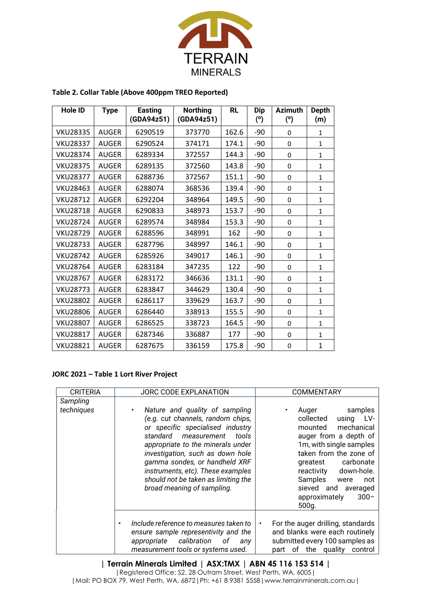

| Hole ID         | <b>Type</b>  | <b>Easting</b><br>(GDA94z51) | <b>Northing</b><br>(GDA94z51) | <b>RL</b> | <b>Dip</b><br>(°) | <b>Azimuth</b><br>(°) | <b>Depth</b><br>(m) |
|-----------------|--------------|------------------------------|-------------------------------|-----------|-------------------|-----------------------|---------------------|
| <b>VKU28335</b> | <b>AUGER</b> | 6290519                      | 373770                        | 162.6     | -90               | 0                     | $\mathbf{1}$        |
| <b>VKU28337</b> | <b>AUGER</b> | 6290524                      | 374171                        | 174.1     | $-90$             | 0                     | $\mathbf{1}$        |
| <b>VKU28374</b> | <b>AUGER</b> | 6289334                      | 372557                        | 144.3     | -90               | 0                     | $\mathbf{1}$        |
| <b>VKU28375</b> | <b>AUGER</b> | 6289135                      | 372560                        | 143.8     | $-90$             | $\mathbf 0$           | $\mathbf{1}$        |
| <b>VKU28377</b> | <b>AUGER</b> | 6288736                      | 372567                        | 151.1     | $-90$             | 0                     | $\mathbf{1}$        |
| <b>VKU28463</b> | <b>AUGER</b> | 6288074                      | 368536                        | 139.4     | $-90$             | $\Omega$              | $\mathbf{1}$        |
| <b>VKU28712</b> | <b>AUGER</b> | 6292204                      | 348964                        | 149.5     | $-90$             | 0                     | $\mathbf{1}$        |
| <b>VKU28718</b> | <b>AUGER</b> | 6290833                      | 348973                        | 153.7     | -90               | $\Omega$              | $\mathbf{1}$        |
| <b>VKU28724</b> | <b>AUGER</b> | 6289574                      | 348984                        | 153.3     | -90               | 0                     | $\mathbf{1}$        |
| <b>VKU28729</b> | <b>AUGER</b> | 6288596                      | 348991                        | 162       | -90               | 0                     | $\mathbf{1}$        |
| <b>VKU28733</b> | <b>AUGER</b> | 6287796                      | 348997                        | 146.1     | $-90$             | $\Omega$              | $\mathbf{1}$        |
| <b>VKU28742</b> | <b>AUGER</b> | 6285926                      | 349017                        | 146.1     | $-90$             | 0                     | $\mathbf{1}$        |
| <b>VKU28764</b> | <b>AUGER</b> | 6283184                      | 347235                        | 122       | $-90$             | 0                     | $\mathbf{1}$        |
| <b>VKU28767</b> | <b>AUGER</b> | 6283172                      | 346636                        | 131.1     | -90               | 0                     | 1                   |
| <b>VKU28773</b> | <b>AUGER</b> | 6283847                      | 344629                        | 130.4     | -90               | $\mathbf 0$           | $\mathbf{1}$        |
| <b>VKU28802</b> | <b>AUGER</b> | 6286117                      | 339629                        | 163.7     | -90               | $\mathbf 0$           | $\mathbf{1}$        |
| <b>VKU28806</b> | <b>AUGER</b> | 6286440                      | 338913                        | 155.5     | -90               | 0                     | $\mathbf{1}$        |
| <b>VKU28807</b> | <b>AUGER</b> | 6286525                      | 338723                        | 164.5     | -90               | 0                     | $\mathbf{1}$        |
| <b>VKU28817</b> | <b>AUGER</b> | 6287346                      | 336887                        | 177       | -90               | 0                     | 1                   |
| <b>VKU28821</b> | <b>AUGER</b> | 6287675                      | 336159                        | 175.8     | -90               | 0                     | $\mathbf{1}$        |

### **Table 2. Collar Table (Above 400ppm TREO Reported)**

#### **JORC 2021 – Table 1 Lort River Project**

| <b>CRITERIA</b>        | JORC CODE EXPLANATION                                                                                                                                                                                                                                                                                                                                     | <b>COMMENTARY</b>                                                                                                                                                                                                                                                                              |
|------------------------|-----------------------------------------------------------------------------------------------------------------------------------------------------------------------------------------------------------------------------------------------------------------------------------------------------------------------------------------------------------|------------------------------------------------------------------------------------------------------------------------------------------------------------------------------------------------------------------------------------------------------------------------------------------------|
| Sampling<br>techniques | Nature and quality of sampling<br>(e.g. cut channels, random chips,<br>or specific specialised industry<br>standard measurement tools<br>appropriate to the minerals under<br>investigation, such as down hole<br>gamma sondes, or handheld XRF<br>instruments, etc). These examples<br>should not be taken as limiting the<br>broad meaning of sampling. | samples<br>Auger<br>٠<br>collected<br>using LV-<br>mechanical<br>mounted<br>auger from a depth of<br>1m, with single samples<br>taken from the zone of<br>carbonate<br>greatest<br>down-hole.<br>reactivity<br>Samples were<br>not<br>sieved and averaged<br>$300 -$<br>approximately<br>500q. |
|                        | Include reference to measures taken to<br>ensure sample representivity and the<br>appropriate calibration<br>οf<br>anv<br>measurement tools or systems used.                                                                                                                                                                                              | For the auger drilling, standards<br>$\bullet$<br>and blanks were each routinely<br>submitted every 100 samples as<br>the quality<br>0f<br>control<br>part                                                                                                                                     |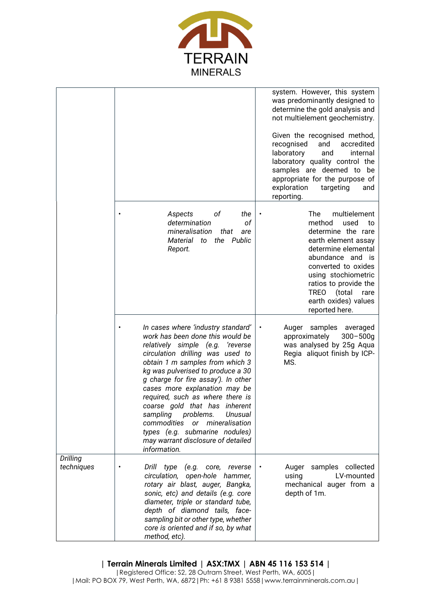

|                               |                                                                                                                                                                                                                                                                                                                                                                                                                                                                                                                                                  | system. However, this system<br>was predominantly designed to<br>determine the gold analysis and<br>not multielement geochemistry.<br>Given the recognised method,<br>recognised<br>and<br>accredited<br>laboratory<br>internal<br>and<br>laboratory quality control the<br>samples are deemed to be<br>appropriate for the purpose of<br>exploration<br>targeting<br>and<br>reporting. |
|-------------------------------|--------------------------------------------------------------------------------------------------------------------------------------------------------------------------------------------------------------------------------------------------------------------------------------------------------------------------------------------------------------------------------------------------------------------------------------------------------------------------------------------------------------------------------------------------|-----------------------------------------------------------------------------------------------------------------------------------------------------------------------------------------------------------------------------------------------------------------------------------------------------------------------------------------------------------------------------------------|
|                               | оf<br>Aspects<br>the<br>determination<br>of<br>mineralisation<br>that<br>are<br>Material to<br>the Public<br>Report.                                                                                                                                                                                                                                                                                                                                                                                                                             | The<br>multielement<br>method<br>used<br>to<br>determine the rare<br>earth element assay<br>determine elemental<br>abundance and is<br>converted to oxides<br>using stochiometric<br>ratios to provide the<br><b>TREO</b><br>(total<br>rare<br>earth oxides) values<br>reported here.                                                                                                   |
|                               | In cases where 'industry standard'<br>work has been done this would be<br>relatively simple (e.g.<br>'reverse<br>circulation drilling was used to<br>obtain 1 m samples from which 3<br>kg was pulverised to produce a 30<br>g charge for fire assay'). In other<br>cases more explanation may be<br>required, such as where there is<br>coarse gold that has inherent<br>sampling<br>problems.<br>Unusual<br>commodities<br>mineralisation<br><b>or</b><br>types (e.g. submarine nodules)<br>may warrant disclosure of detailed<br>information. | samples<br>Auger<br>averaged<br>$\bullet$<br>approximately<br>$300 - 500g$<br>was analysed by 25g Aqua<br>Regia aliquot finish by ICP-<br>MS.                                                                                                                                                                                                                                           |
| <b>Drilling</b><br>techniques | Drill type (e.g. core, reverse<br>circulation, open-hole hammer,<br>rotary air blast, auger, Bangka,<br>sonic, etc) and details (e.g. core<br>diameter, triple or standard tube,<br>depth of diamond tails, face-<br>sampling bit or other type, whether<br>core is oriented and if so, by what<br>method, etc).                                                                                                                                                                                                                                 | samples collected<br>Auger<br>LV-mounted<br>using<br>mechanical auger from a<br>depth of 1m.                                                                                                                                                                                                                                                                                            |

**| Terrain Minerals Limited | ASX:TMX | ABN 45 116 153 514 |**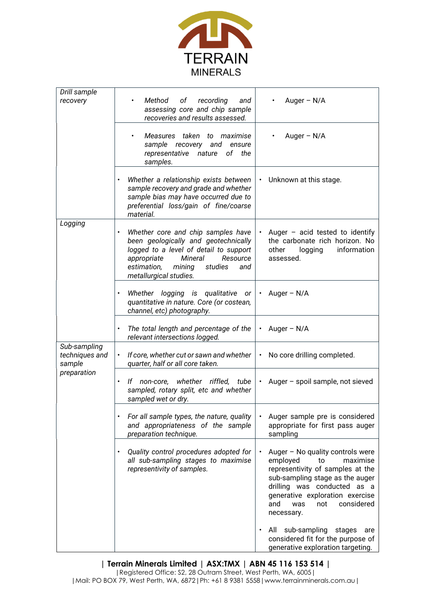

| Drill sample                             |                                                                                                                                                                                                                                 |                                                                                                                                                                                                                                                                                                                                                                            |
|------------------------------------------|---------------------------------------------------------------------------------------------------------------------------------------------------------------------------------------------------------------------------------|----------------------------------------------------------------------------------------------------------------------------------------------------------------------------------------------------------------------------------------------------------------------------------------------------------------------------------------------------------------------------|
| recovery                                 | Method<br>of<br>recording<br>and<br>$\bullet$<br>assessing core and chip sample<br>recoveries and results assessed.                                                                                                             | Auger $- N/A$                                                                                                                                                                                                                                                                                                                                                              |
|                                          | Measures taken to maximise<br>$\bullet$<br>sample<br>recovery and<br>ensure<br>representative<br>nature<br>of<br>the<br>samples.                                                                                                | Auger $- N/A$                                                                                                                                                                                                                                                                                                                                                              |
|                                          | Whether a relationship exists between<br>$\bullet$<br>sample recovery and grade and whether<br>sample bias may have occurred due to<br>preferential loss/gain of fine/coarse<br>material.                                       | Unknown at this stage.<br>٠                                                                                                                                                                                                                                                                                                                                                |
| Logging                                  | $\bullet$                                                                                                                                                                                                                       |                                                                                                                                                                                                                                                                                                                                                                            |
|                                          | Whether core and chip samples have<br>been geologically and geotechnically<br>logged to a level of detail to support<br>Mineral<br>appropriate<br>Resource<br>estimation,<br>mining<br>studies<br>and<br>metallurgical studies. | Auger $-$ acid tested to identify<br>٠<br>the carbonate rich horizon. No<br>other<br>information<br>logging<br>assessed.                                                                                                                                                                                                                                                   |
|                                          | Whether logging is qualitative or<br>$\bullet$<br>quantitative in nature. Core (or costean,<br>channel, etc) photography.                                                                                                       | Auger $- N/A$<br>$\bullet$                                                                                                                                                                                                                                                                                                                                                 |
|                                          | The total length and percentage of the<br>$\bullet$<br>relevant intersections logged.                                                                                                                                           | Auger $- N/A$<br>$\bullet$                                                                                                                                                                                                                                                                                                                                                 |
| Sub-sampling<br>techniques and<br>sample | If core, whether cut or sawn and whether<br>$\bullet$<br>quarter, half or all core taken.                                                                                                                                       | No core drilling completed.<br>$\bullet$                                                                                                                                                                                                                                                                                                                                   |
| preparation                              | whether riffled, tube<br>lf<br>non-core,<br>$\bullet$<br>sampled, rotary split, etc and whether<br>sampled wet or dry.                                                                                                          | Auger - spoil sample, not sieved<br>$\bullet$                                                                                                                                                                                                                                                                                                                              |
|                                          | For all sample types, the nature, quality<br>and appropriateness of the sample<br>preparation technique.                                                                                                                        | Auger sample pre is considered<br>appropriate for first pass auger<br>sampling                                                                                                                                                                                                                                                                                             |
|                                          | Quality control procedures adopted for<br>$\bullet$<br>all sub-sampling stages to maximise<br>representivity of samples.                                                                                                        | Auger - No quality controls were<br>employed<br>to<br>maximise<br>representivity of samples at the<br>sub-sampling stage as the auger<br>drilling was conducted as a<br>generative exploration exercise<br>considered<br>and<br>was<br>not<br>necessary.<br>sub-sampling<br>All<br>stages<br>are<br>considered fit for the purpose of<br>generative exploration targeting. |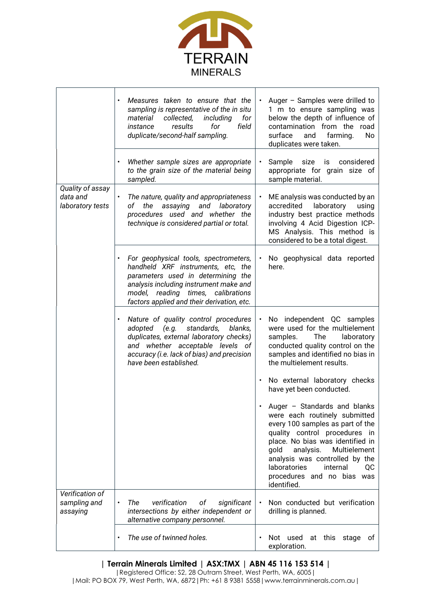

|                                                  | Measures taken to ensure that the<br>$\bullet$<br>sampling is representative of the in situ<br>for<br>collected,<br>including<br>material<br>results<br>for<br>field<br>instance<br>duplicate/second-half sampling.                             | Auger - Samples were drilled to<br>$\bullet$<br>1 m to ensure sampling was<br>below the depth of influence of<br>contamination from the road<br>surface<br>and<br>farming.<br>No<br>duplicates were taken.                                                                                                                   |
|--------------------------------------------------|-------------------------------------------------------------------------------------------------------------------------------------------------------------------------------------------------------------------------------------------------|------------------------------------------------------------------------------------------------------------------------------------------------------------------------------------------------------------------------------------------------------------------------------------------------------------------------------|
|                                                  | Whether sample sizes are appropriate<br>$\bullet$<br>to the grain size of the material being<br>sampled.                                                                                                                                        | Sample size is considered<br>$\bullet$<br>appropriate for grain size of<br>sample material.                                                                                                                                                                                                                                  |
| Quality of assay<br>data and<br>laboratory tests | $\bullet$<br>The nature, quality and appropriateness<br>of the assaying and laboratory<br>procedures used and whether the<br>technique is considered partial or total.                                                                          | ME analysis was conducted by an<br>accredited<br>laboratory<br>using<br>industry best practice methods<br>involving 4 Acid Digestion ICP-<br>MS Analysis. This method is<br>considered to be a total digest.                                                                                                                 |
|                                                  | For geophysical tools, spectrometers,<br>handheld XRF instruments, etc, the<br>parameters used in determining the<br>analysis including instrument make and<br>model, reading times, calibrations<br>factors applied and their derivation, etc. | No geophysical data reported<br>here.                                                                                                                                                                                                                                                                                        |
|                                                  | Nature of quality control procedures<br>$\bullet$<br>adopted (e.g. standards,<br>blanks,<br>duplicates, external laboratory checks)<br>and whether acceptable levels of<br>accuracy (i.e. lack of bias) and precision<br>have been established. | No independent QC samples<br>were used for the multielement<br>The<br>samples.<br>laboratory<br>conducted quality control on the<br>samples and identified no bias in<br>the multielement results.                                                                                                                           |
|                                                  |                                                                                                                                                                                                                                                 | No external laboratory checks<br>have yet been conducted.                                                                                                                                                                                                                                                                    |
|                                                  |                                                                                                                                                                                                                                                 | Auger - Standards and blanks<br>were each routinely submitted<br>every 100 samples as part of the<br>quality control procedures in<br>place. No bias was identified in<br>analysis.<br>Multielement<br>gold<br>analysis was controlled by the<br>laboratories<br>internal<br>QC<br>procedures and no bias was<br>identified. |
| Verification of<br>sampling and<br>assaying      | The<br>verification<br>оf<br>significant<br>$\bullet$<br>intersections by either independent or<br>alternative company personnel.                                                                                                               | Non conducted but verification<br>drilling is planned.                                                                                                                                                                                                                                                                       |
|                                                  | The use of twinned holes.                                                                                                                                                                                                                       | Not used<br>this<br>at<br>stage<br>of<br>exploration.                                                                                                                                                                                                                                                                        |

# **| Terrain Minerals Limited | ASX:TMX | ABN 45 116 153 514 |**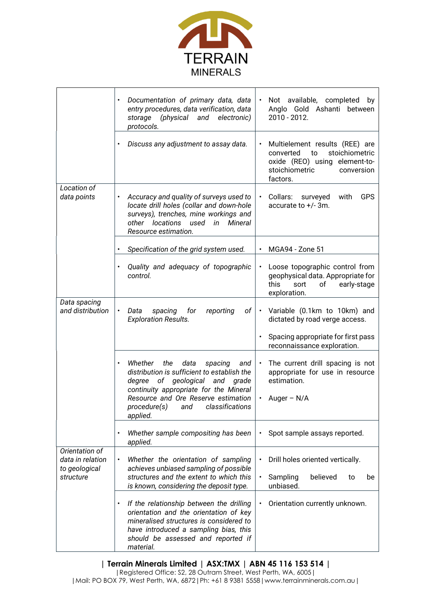

|                                                                  | Documentation of primary data, data<br>$\bullet$<br>entry procedures, data verification, data<br>storage (physical and electronic)<br>protocols.                                                                                                                              | Not available, completed<br>by<br>$\bullet$<br>Anglo Gold Ashanti between<br>2010 - 2012.                                                                     |
|------------------------------------------------------------------|-------------------------------------------------------------------------------------------------------------------------------------------------------------------------------------------------------------------------------------------------------------------------------|---------------------------------------------------------------------------------------------------------------------------------------------------------------|
|                                                                  | Discuss any adjustment to assay data.<br>$\bullet$                                                                                                                                                                                                                            | Multielement results (REE) are<br>$\bullet$<br>stoichiometric<br>converted<br>to<br>oxide (REO) using element-to-<br>stoichiometric<br>conversion<br>factors. |
| Location of<br>data points                                       | Accuracy and quality of surveys used to<br>$\bullet$<br>locate drill holes (collar and down-hole<br>surveys), trenches, mine workings and<br>other locations used in Mineral<br>Resource estimation.                                                                          | Collars: surveyed<br><b>GPS</b><br>with<br>accurate to $+/-$ 3m.                                                                                              |
|                                                                  | Specification of the grid system used.<br>$\bullet$                                                                                                                                                                                                                           | MGA94 - Zone 51                                                                                                                                               |
|                                                                  | Quality and adequacy of topographic<br>$\bullet$<br>control.                                                                                                                                                                                                                  | Loose topographic control from<br>geophysical data. Appropriate for<br>this<br>sort<br>of<br>early-stage<br>exploration.                                      |
| Data spacing<br>and distribution                                 | of<br>Data<br>spacing<br>for<br>reporting<br><b>Exploration Results.</b>                                                                                                                                                                                                      | Variable (0.1km to 10km) and<br>$\bullet$<br>dictated by road verge access.<br>Spacing appropriate for first pass                                             |
|                                                                  |                                                                                                                                                                                                                                                                               | reconnaissance exploration.                                                                                                                                   |
|                                                                  | Whether the<br>data<br>spacing<br>and<br>$\bullet$<br>distribution is sufficient to establish the<br>degree of geological and<br>grade<br>continuity appropriate for the Mineral<br>Resource and Ore Reserve estimation<br>classifications<br>procedure(s)<br>and<br>applied. | The current drill spacing is not<br>$\bullet$<br>appropriate for use in resource<br>estimation.<br>Auger $- N/A$                                              |
|                                                                  | Whether sample compositing has been<br>$\bullet$<br>applied.                                                                                                                                                                                                                  | Spot sample assays reported.<br>$\bullet$                                                                                                                     |
| Orientation of<br>data in relation<br>to geological<br>structure | Whether the orientation of sampling<br>$\bullet$<br>achieves unbiased sampling of possible<br>structures and the extent to which this<br>is known, considering the deposit type.                                                                                              | Drill holes oriented vertically.<br>$\bullet$<br>believed<br>Sampling<br>$\bullet$<br>to<br>be<br>unbiased.                                                   |
|                                                                  | If the relationship between the drilling<br>$\bullet$<br>orientation and the orientation of key<br>mineralised structures is considered to<br>have introduced a sampling bias, this<br>should be assessed and reported if<br>material.                                        | Orientation currently unknown.<br>$\bullet$                                                                                                                   |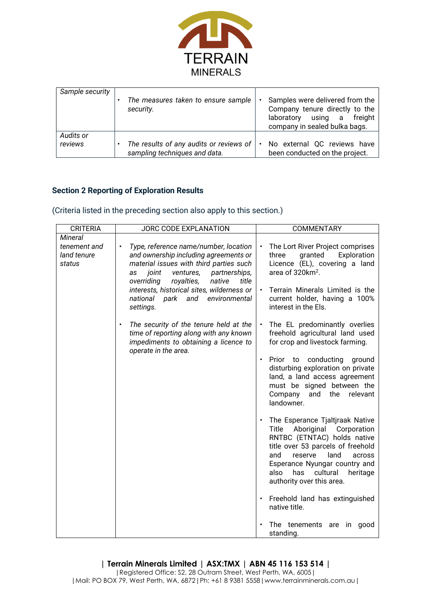

| Sample security      | The measures taken to ensure sample<br>security.                             | Samples were delivered from the<br>Company tenure directly to the<br>using a<br>freight<br>laboratory<br>company in sealed bulka bags. |
|----------------------|------------------------------------------------------------------------------|----------------------------------------------------------------------------------------------------------------------------------------|
| Audits or<br>reviews | The results of any audits or reviews of $ $<br>sampling techniques and data. | No external QC reviews have<br>$\bullet$<br>been conducted on the project.                                                             |

# **Section 2 Reporting of Exploration Results**

## (Criteria listed in the preceding section also apply to this section.)

| <b>CRITERIA</b>                       | JORC CODE EXPLANATION                                                                                                                                                                                                                                                                                                                     | <b>COMMENTARY</b>                                                                                                                                                                                                                                                            |
|---------------------------------------|-------------------------------------------------------------------------------------------------------------------------------------------------------------------------------------------------------------------------------------------------------------------------------------------------------------------------------------------|------------------------------------------------------------------------------------------------------------------------------------------------------------------------------------------------------------------------------------------------------------------------------|
| Mineral                               |                                                                                                                                                                                                                                                                                                                                           |                                                                                                                                                                                                                                                                              |
| tenement and<br>land tenure<br>status | Type, reference name/number, location<br>$\bullet$<br>and ownership including agreements or<br>material issues with third parties such<br>joint<br>ventures,<br>partnerships,<br>as<br>overriding<br>royalties,<br>native<br>title<br>interests, historical sites, wilderness or<br>national<br>park<br>and<br>environmental<br>settings. | The Lort River Project comprises<br>three<br>granted<br>Exploration<br>Licence (EL), covering a land<br>area of 320km <sup>2</sup> .<br>Terrain Minerals Limited is the<br>current holder, having a 100%<br>interest in the Els.                                             |
|                                       | The security of the tenure held at the<br>$\bullet$<br>time of reporting along with any known<br>impediments to obtaining a licence to                                                                                                                                                                                                    | The EL predominantly overlies<br>freehold agricultural land used<br>for crop and livestock farming.                                                                                                                                                                          |
|                                       | operate in the area.                                                                                                                                                                                                                                                                                                                      | conducting<br>Prior<br>to<br>ground<br>$\bullet$<br>disturbing exploration on private<br>land, a land access agreement<br>must be signed between the<br>Company<br>and<br>the<br>relevant<br>landowner.                                                                      |
|                                       |                                                                                                                                                                                                                                                                                                                                           | The Esperance Tjaltjraak Native<br>Title Aboriginal Corporation<br>RNTBC (ETNTAC) holds native<br>title over 53 parcels of freehold<br>and<br>reserve<br>land<br>across<br>Esperance Nyungar country and<br>also<br>has<br>cultural<br>heritage<br>authority over this area. |
|                                       |                                                                                                                                                                                                                                                                                                                                           | Freehold land has extinguished<br>$\bullet$<br>native title.                                                                                                                                                                                                                 |
|                                       |                                                                                                                                                                                                                                                                                                                                           | The tenements are in good<br>standing.                                                                                                                                                                                                                                       |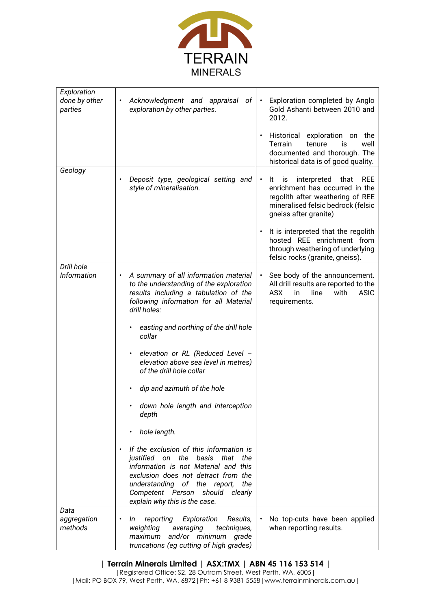

| Exploration<br>done by other<br>parties | Acknowledgment and appraisal of<br>exploration by other parties.                                                                                                                                                                                                                                                                                                                                                                                                                                                                                                                                                                                                                                                              | Exploration completed by Anglo<br>$\bullet$<br>Gold Ashanti between 2010 and<br>2012.<br>Historical exploration on<br>the<br>Terrain<br>tenure<br>is<br>well<br>documented and thorough. The<br>historical data is of good quality.                                                                                                         |
|-----------------------------------------|-------------------------------------------------------------------------------------------------------------------------------------------------------------------------------------------------------------------------------------------------------------------------------------------------------------------------------------------------------------------------------------------------------------------------------------------------------------------------------------------------------------------------------------------------------------------------------------------------------------------------------------------------------------------------------------------------------------------------------|---------------------------------------------------------------------------------------------------------------------------------------------------------------------------------------------------------------------------------------------------------------------------------------------------------------------------------------------|
| Geology                                 | Deposit type, geological setting and<br>style of mineralisation.                                                                                                                                                                                                                                                                                                                                                                                                                                                                                                                                                                                                                                                              | <b>REE</b><br>is<br>interpreted<br>It<br>that<br>$\bullet$<br>enrichment has occurred in the<br>regolith after weathering of REE<br>mineralised felsic bedrock (felsic<br>gneiss after granite)<br>It is interpreted that the regolith<br>hosted REE enrichment from<br>through weathering of underlying<br>felsic rocks (granite, gneiss). |
| Drill hole<br><b>Information</b>        | A summary of all information material<br>to the understanding of the exploration<br>results including a tabulation of the<br>following information for all Material<br>drill holes:<br>easting and northing of the drill hole<br>collar<br>elevation or RL (Reduced Level -<br>elevation above sea level in metres)<br>of the drill hole collar<br>dip and azimuth of the hole<br>down hole length and interception<br>depth<br>hole length.<br>If the exclusion of this information is<br>justified on the basis<br>that<br>the<br>information is not Material and this<br>exclusion does not detract from the<br>understanding of the report,<br>the<br>Competent Person<br>should clearly<br>explain why this is the case. | See body of the announcement.<br>$\bullet$<br>All drill results are reported to the<br><b>ASIC</b><br>ASX<br>with<br>in<br>line<br>requirements.                                                                                                                                                                                            |
| Data<br>aggregation<br>methods          | Exploration<br>Results,<br>reporting<br>In<br>weighting<br>techniques,<br>averaging<br>and/or minimum grade<br>maximum<br>truncations (eg cutting of high grades)                                                                                                                                                                                                                                                                                                                                                                                                                                                                                                                                                             | No top-cuts have been applied<br>when reporting results.                                                                                                                                                                                                                                                                                    |

## **| Terrain Minerals Limited | ASX:TMX | ABN 45 116 153 514 |**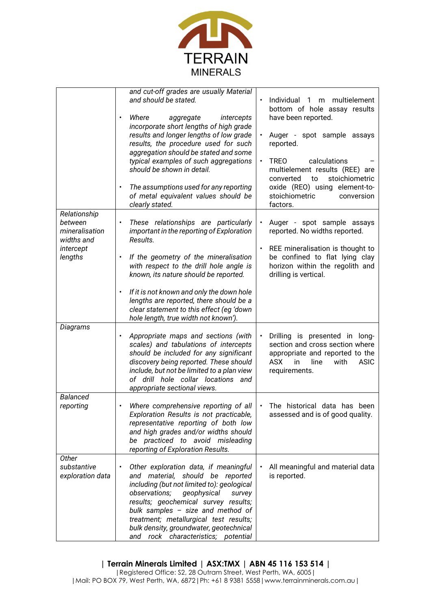

|                                                                                 | and cut-off grades are usually Material<br>and should be stated.<br>Where<br>intercepts<br>aggregate<br>incorporate short lengths of high grade<br>results and longer lengths of low grade<br>results, the procedure used for such<br>aggregation should be stated and some<br>typical examples of such aggregations<br>should be shown in detail.<br>The assumptions used for any reporting<br>of metal equivalent values should be<br>clearly stated. | Individual 1 m multielement<br>$\bullet$<br>bottom of hole assay results<br>have been reported.<br>Auger - spot sample assays<br>reported.<br><b>TREO</b><br>calculations<br>$\bullet$<br>multielement results (REE) are<br>stoichiometric<br>converted<br>to<br>oxide (REO) using element-to-<br>stoichiometric<br>conversion<br>factors. |
|---------------------------------------------------------------------------------|---------------------------------------------------------------------------------------------------------------------------------------------------------------------------------------------------------------------------------------------------------------------------------------------------------------------------------------------------------------------------------------------------------------------------------------------------------|--------------------------------------------------------------------------------------------------------------------------------------------------------------------------------------------------------------------------------------------------------------------------------------------------------------------------------------------|
| Relationship<br>between<br>mineralisation<br>widths and<br>intercept<br>lengths | These relationships are particularly<br>$\bullet$<br>important in the reporting of Exploration<br>Results.<br>If the geometry of the mineralisation<br>with respect to the drill hole angle is<br>known, its nature should be reported.<br>If it is not known and only the down hole<br>lengths are reported, there should be a<br>clear statement to this effect (eg 'down                                                                             | Auger - spot sample assays<br>reported. No widths reported.<br>REE mineralisation is thought to<br>$\bullet$<br>be confined to flat lying clay<br>horizon within the regolith and<br>drilling is vertical.                                                                                                                                 |
| Diagrams                                                                        | hole length, true width not known').<br>Appropriate maps and sections (with<br>scales) and tabulations of intercepts<br>should be included for any significant<br>discovery being reported. These should<br>include, but not be limited to a plan view<br>of drill hole collar locations and<br>appropriate sectional views.                                                                                                                            | Drilling is presented in long-<br>$\bullet$<br>section and cross section where<br>appropriate and reported to the<br>ASX.<br>in<br>line<br>with<br>ASIC<br>requirements.                                                                                                                                                                   |
| <b>Balanced</b><br>reporting                                                    | Where comprehensive reporting of all<br>Exploration Results is not practicable,<br>representative reporting of both low<br>and high grades and/or widths should<br>be practiced to avoid misleading<br>reporting of Exploration Results.                                                                                                                                                                                                                | The historical data has been<br>$\bullet$<br>assessed and is of good quality.                                                                                                                                                                                                                                                              |
| Other<br>substantive<br>exploration data                                        | Other exploration data, if meaningful<br>$\bullet$<br>and material, should be reported<br>including (but not limited to): geological<br>observations;<br>geophysical<br>survey<br>results; geochemical survey results;<br>bulk samples - size and method of<br>treatment; metallurgical test results;<br>bulk density, groundwater, geotechnical<br>and rock characteristics; potential                                                                 | All meaningful and material data<br>$\bullet$<br>is reported.                                                                                                                                                                                                                                                                              |